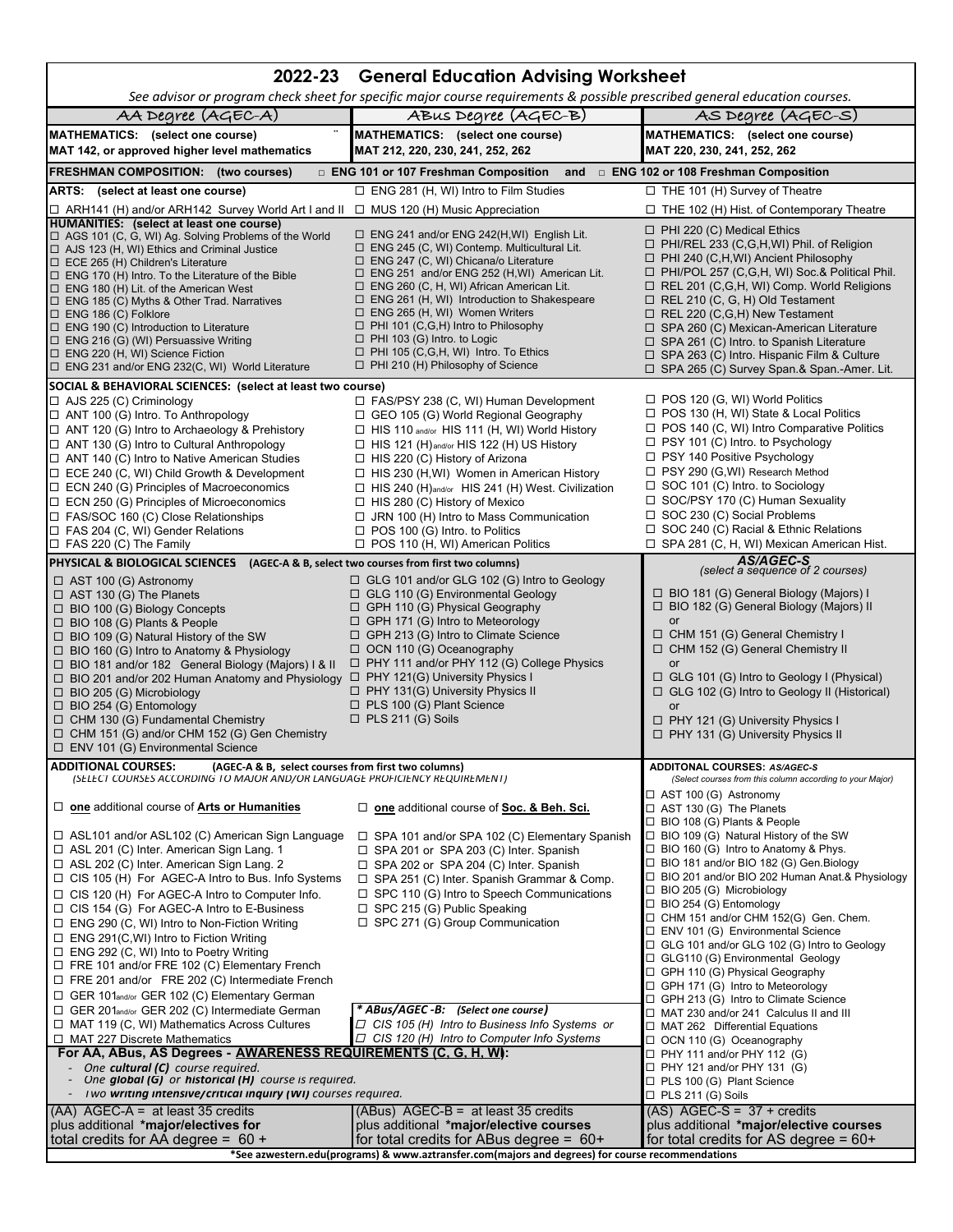| See advisor or program check sheet for specific major course requirements & possible prescribed general education courses.<br>AA Degree (AGEC-A)<br>ABUS Degree (AGEC-B)<br>AS Degree (AGEC-S)<br>MATHEMATICS: (select one course)<br>MATHEMATICS: (select one course)<br>MATHEMATICS: (select one course)<br>MAT 142, or approved higher level mathematics<br>MAT 220, 230, 241, 252, 262<br>MAT 212, 220, 230, 241, 252, 262<br><b>FRESHMAN COMPOSITION: (two courses)</b><br>and <b>ENG 102 or 108 Freshman Composition</b><br>$\Box$ ENG 101 or 107 Freshman Composition<br>$\Box$ ENG 281 (H, WI) Intro to Film Studies<br>$\Box$ THE 101 (H) Survey of Theatre<br>ARTS: (select at least one course)<br>□ THE 102 (H) Hist. of Contemporary Theatre<br>$\Box$ ARH141 (H) and/or ARH142 Survey World Art I and II $\Box$ MUS 120 (H) Music Appreciation<br><b>HUMANITIES:</b> (select at least one course)<br>$\Box$ PHI 220 (C) Medical Ethics<br>$\Box$ ENG 241 and/or ENG 242(H, WI) English Lit.<br>$\Box$ AGS 101 (C, G, WI) Ag. Solving Problems of the World<br>$\Box$ PHI/REL 233 (C,G,H,WI) Phil. of Religion<br>$\Box$ ENG 245 (C, WI) Contemp. Multicultural Lit.<br>$\Box$ AJS 123 (H, WI) Ethics and Criminal Justice<br>$\Box$ PHI 240 (C,H,WI) Ancient Philosophy<br>$\Box$ ENG 247 (C, WI) Chicana/o Literature<br>$\Box$ ECE 265 (H) Children's Literature<br>□ PHI/POL 257 (C,G,H, WI) Soc.& Political Phil.<br>$\Box$ ENG 251 and/or ENG 252 (H, WI) American Lit.<br>$\Box$ ENG 170 (H) Intro. To the Literature of the Bible<br>$\Box$ REL 201 (C, G, H, WI) Comp. World Religions<br>□ ENG 260 (C, H, WI) African American Lit.<br>$\Box$ ENG 180 (H) Lit. of the American West<br>$\Box$ ENG 261 (H, WI) Introduction to Shakespeare<br>$\Box$ REL 210 (C, G, H) Old Testament<br>$\Box$ ENG 185 (C) Myths & Other Trad. Narratives<br>$\Box$ ENG 265 (H, WI) Women Writers<br>$\Box$ REL 220 (C, G, H) New Testament<br>$\Box$ ENG 186 (C) Folklore<br>$\Box$ PHI 101 (C,G,H) Intro to Philosophy<br>$\Box$ SPA 260 (C) Mexican-American Literature<br>$\Box$ ENG 190 (C) Introduction to Literature<br>$\Box$ PHI 103 (G) Intro. to Logic<br>$\Box$ ENG 216 (G) (WI) Persuassive Writing<br>$\Box$ SPA 261 (C) Intro. to Spanish Literature<br>$\Box$ PHI 105 (C,G,H, WI) Intro. To Ethics<br>$\Box$ ENG 220 (H, WI) Science Fiction<br>□ SPA 263 (C) Intro. Hispanic Film & Culture<br>$\Box$ PHI 210 (H) Philosophy of Science<br>$\Box$ ENG 231 and/or ENG 232(C, WI) World Literature<br>□ SPA 265 (C) Survey Span.& Span.-Amer. Lit.<br>SOCIAL & BEHAVIORAL SCIENCES: (select at least two course)<br>$\Box$ POS 120 (G, WI) World Politics<br>$\Box$ AJS 225 (C) Criminology<br>$\Box$ FAS/PSY 238 (C, WI) Human Development<br>□ POS 130 (H, WI) State & Local Politics<br>$\Box$ ANT 100 (G) Intro. To Anthropology<br>$\Box$ GEO 105 (G) World Regional Geography<br>$\Box$ POS 140 (C, WI) Intro Comparative Politics<br>$\Box$ HIS 110 and/or HIS 111 (H, WI) World History<br>$\Box$ ANT 120 (G) Intro to Archaeology & Prehistory<br>$\Box$ PSY 101 (C) Intro. to Psychology<br>$\Box$ ANT 130 (G) Intro to Cultural Anthropology<br>$\Box$ HIS 121 (H) and/or HIS 122 (H) US History<br>□ PSY 140 Positive Psychology<br>$\Box$ ANT 140 (C) Intro to Native American Studies<br>$\Box$ HIS 220 (C) History of Arizona<br>$\Box$ PSY 290 (G, WI) Research Method<br>$\Box$ ECE 240 (C, WI) Child Growth & Development<br>$\Box$ HIS 230 (H, WI) Women in American History<br>$\Box$ SOC 101 (C) Intro. to Sociology<br>□ HIS 240 (H)and/or HIS 241 (H) West. Civilization<br>$\Box$ ECN 240 (G) Principles of Macroeconomics<br>$\Box$ SOC/PSY 170 (C) Human Sexuality<br>$\Box$ ECN 250 (G) Principles of Microeconomics<br>$\Box$ HIS 280 (C) History of Mexico<br>$\Box$ SOC 230 (C) Social Problems<br>$\Box$ FAS/SOC 160 (C) Close Relationships<br>$\Box$ JRN 100 (H) Intro to Mass Communication<br>$\Box$ SOC 240 (C) Racial & Ethnic Relations<br>$\Box$ FAS 204 (C, WI) Gender Relations<br>$\Box$ POS 100 (G) Intro. to Politics<br>□ POS 110 (H, WI) American Politics<br>$\Box$ SPA 281 (C, H, WI) Mexican American Hist.<br>$\Box$ FAS 220 (C) The Family<br>AS/AGEC-S<br><b>PHYSICAL &amp; BIOLOGICAL SCIENCES</b><br>(AGEC-A & B, select two courses from first two columns)<br>(select a sequence of 2 courses) |
|-----------------------------------------------------------------------------------------------------------------------------------------------------------------------------------------------------------------------------------------------------------------------------------------------------------------------------------------------------------------------------------------------------------------------------------------------------------------------------------------------------------------------------------------------------------------------------------------------------------------------------------------------------------------------------------------------------------------------------------------------------------------------------------------------------------------------------------------------------------------------------------------------------------------------------------------------------------------------------------------------------------------------------------------------------------------------------------------------------------------------------------------------------------------------------------------------------------------------------------------------------------------------------------------------------------------------------------------------------------------------------------------------------------------------------------------------------------------------------------------------------------------------------------------------------------------------------------------------------------------------------------------------------------------------------------------------------------------------------------------------------------------------------------------------------------------------------------------------------------------------------------------------------------------------------------------------------------------------------------------------------------------------------------------------------------------------------------------------------------------------------------------------------------------------------------------------------------------------------------------------------------------------------------------------------------------------------------------------------------------------------------------------------------------------------------------------------------------------------------------------------------------------------------------------------------------------------------------------------------------------------------------------------------------------------------------------------------------------------------------------------------------------------------------------------------------------------------------------------------------------------------------------------------------------------------------------------------------------------------------------------------------------------------------------------------------------------------------------------------------------------------------------------------------------------------------------------------------------------------------------------------------------------------------------------------------------------------------------------------------------------------------------------------------------------------------------------------------------------------------------------------------------------------------------------------------------------------------------------------------------------------------------------------------------------------------------------------------------------------------------------------------------------------------------------------------------------------------------------------------------------------------------------------------------------------------------------------------------------------------------------------------------------------------------------------------------------------------------------------------------------------------------------------------------------------------------------------------------------------------------------------------------------------------------------------------------------------------------------------------------------|
|                                                                                                                                                                                                                                                                                                                                                                                                                                                                                                                                                                                                                                                                                                                                                                                                                                                                                                                                                                                                                                                                                                                                                                                                                                                                                                                                                                                                                                                                                                                                                                                                                                                                                                                                                                                                                                                                                                                                                                                                                                                                                                                                                                                                                                                                                                                                                                                                                                                                                                                                                                                                                                                                                                                                                                                                                                                                                                                                                                                                                                                                                                                                                                                                                                                                                                                                                                                                                                                                                                                                                                                                                                                                                                                                                                                                                                                                                                                                                                                                                                                                                                                                                                                                                                                                                                                                                                             |
|                                                                                                                                                                                                                                                                                                                                                                                                                                                                                                                                                                                                                                                                                                                                                                                                                                                                                                                                                                                                                                                                                                                                                                                                                                                                                                                                                                                                                                                                                                                                                                                                                                                                                                                                                                                                                                                                                                                                                                                                                                                                                                                                                                                                                                                                                                                                                                                                                                                                                                                                                                                                                                                                                                                                                                                                                                                                                                                                                                                                                                                                                                                                                                                                                                                                                                                                                                                                                                                                                                                                                                                                                                                                                                                                                                                                                                                                                                                                                                                                                                                                                                                                                                                                                                                                                                                                                                             |
|                                                                                                                                                                                                                                                                                                                                                                                                                                                                                                                                                                                                                                                                                                                                                                                                                                                                                                                                                                                                                                                                                                                                                                                                                                                                                                                                                                                                                                                                                                                                                                                                                                                                                                                                                                                                                                                                                                                                                                                                                                                                                                                                                                                                                                                                                                                                                                                                                                                                                                                                                                                                                                                                                                                                                                                                                                                                                                                                                                                                                                                                                                                                                                                                                                                                                                                                                                                                                                                                                                                                                                                                                                                                                                                                                                                                                                                                                                                                                                                                                                                                                                                                                                                                                                                                                                                                                                             |
|                                                                                                                                                                                                                                                                                                                                                                                                                                                                                                                                                                                                                                                                                                                                                                                                                                                                                                                                                                                                                                                                                                                                                                                                                                                                                                                                                                                                                                                                                                                                                                                                                                                                                                                                                                                                                                                                                                                                                                                                                                                                                                                                                                                                                                                                                                                                                                                                                                                                                                                                                                                                                                                                                                                                                                                                                                                                                                                                                                                                                                                                                                                                                                                                                                                                                                                                                                                                                                                                                                                                                                                                                                                                                                                                                                                                                                                                                                                                                                                                                                                                                                                                                                                                                                                                                                                                                                             |
|                                                                                                                                                                                                                                                                                                                                                                                                                                                                                                                                                                                                                                                                                                                                                                                                                                                                                                                                                                                                                                                                                                                                                                                                                                                                                                                                                                                                                                                                                                                                                                                                                                                                                                                                                                                                                                                                                                                                                                                                                                                                                                                                                                                                                                                                                                                                                                                                                                                                                                                                                                                                                                                                                                                                                                                                                                                                                                                                                                                                                                                                                                                                                                                                                                                                                                                                                                                                                                                                                                                                                                                                                                                                                                                                                                                                                                                                                                                                                                                                                                                                                                                                                                                                                                                                                                                                                                             |
|                                                                                                                                                                                                                                                                                                                                                                                                                                                                                                                                                                                                                                                                                                                                                                                                                                                                                                                                                                                                                                                                                                                                                                                                                                                                                                                                                                                                                                                                                                                                                                                                                                                                                                                                                                                                                                                                                                                                                                                                                                                                                                                                                                                                                                                                                                                                                                                                                                                                                                                                                                                                                                                                                                                                                                                                                                                                                                                                                                                                                                                                                                                                                                                                                                                                                                                                                                                                                                                                                                                                                                                                                                                                                                                                                                                                                                                                                                                                                                                                                                                                                                                                                                                                                                                                                                                                                                             |
|                                                                                                                                                                                                                                                                                                                                                                                                                                                                                                                                                                                                                                                                                                                                                                                                                                                                                                                                                                                                                                                                                                                                                                                                                                                                                                                                                                                                                                                                                                                                                                                                                                                                                                                                                                                                                                                                                                                                                                                                                                                                                                                                                                                                                                                                                                                                                                                                                                                                                                                                                                                                                                                                                                                                                                                                                                                                                                                                                                                                                                                                                                                                                                                                                                                                                                                                                                                                                                                                                                                                                                                                                                                                                                                                                                                                                                                                                                                                                                                                                                                                                                                                                                                                                                                                                                                                                                             |
|                                                                                                                                                                                                                                                                                                                                                                                                                                                                                                                                                                                                                                                                                                                                                                                                                                                                                                                                                                                                                                                                                                                                                                                                                                                                                                                                                                                                                                                                                                                                                                                                                                                                                                                                                                                                                                                                                                                                                                                                                                                                                                                                                                                                                                                                                                                                                                                                                                                                                                                                                                                                                                                                                                                                                                                                                                                                                                                                                                                                                                                                                                                                                                                                                                                                                                                                                                                                                                                                                                                                                                                                                                                                                                                                                                                                                                                                                                                                                                                                                                                                                                                                                                                                                                                                                                                                                                             |
|                                                                                                                                                                                                                                                                                                                                                                                                                                                                                                                                                                                                                                                                                                                                                                                                                                                                                                                                                                                                                                                                                                                                                                                                                                                                                                                                                                                                                                                                                                                                                                                                                                                                                                                                                                                                                                                                                                                                                                                                                                                                                                                                                                                                                                                                                                                                                                                                                                                                                                                                                                                                                                                                                                                                                                                                                                                                                                                                                                                                                                                                                                                                                                                                                                                                                                                                                                                                                                                                                                                                                                                                                                                                                                                                                                                                                                                                                                                                                                                                                                                                                                                                                                                                                                                                                                                                                                             |
|                                                                                                                                                                                                                                                                                                                                                                                                                                                                                                                                                                                                                                                                                                                                                                                                                                                                                                                                                                                                                                                                                                                                                                                                                                                                                                                                                                                                                                                                                                                                                                                                                                                                                                                                                                                                                                                                                                                                                                                                                                                                                                                                                                                                                                                                                                                                                                                                                                                                                                                                                                                                                                                                                                                                                                                                                                                                                                                                                                                                                                                                                                                                                                                                                                                                                                                                                                                                                                                                                                                                                                                                                                                                                                                                                                                                                                                                                                                                                                                                                                                                                                                                                                                                                                                                                                                                                                             |
|                                                                                                                                                                                                                                                                                                                                                                                                                                                                                                                                                                                                                                                                                                                                                                                                                                                                                                                                                                                                                                                                                                                                                                                                                                                                                                                                                                                                                                                                                                                                                                                                                                                                                                                                                                                                                                                                                                                                                                                                                                                                                                                                                                                                                                                                                                                                                                                                                                                                                                                                                                                                                                                                                                                                                                                                                                                                                                                                                                                                                                                                                                                                                                                                                                                                                                                                                                                                                                                                                                                                                                                                                                                                                                                                                                                                                                                                                                                                                                                                                                                                                                                                                                                                                                                                                                                                                                             |
|                                                                                                                                                                                                                                                                                                                                                                                                                                                                                                                                                                                                                                                                                                                                                                                                                                                                                                                                                                                                                                                                                                                                                                                                                                                                                                                                                                                                                                                                                                                                                                                                                                                                                                                                                                                                                                                                                                                                                                                                                                                                                                                                                                                                                                                                                                                                                                                                                                                                                                                                                                                                                                                                                                                                                                                                                                                                                                                                                                                                                                                                                                                                                                                                                                                                                                                                                                                                                                                                                                                                                                                                                                                                                                                                                                                                                                                                                                                                                                                                                                                                                                                                                                                                                                                                                                                                                                             |
|                                                                                                                                                                                                                                                                                                                                                                                                                                                                                                                                                                                                                                                                                                                                                                                                                                                                                                                                                                                                                                                                                                                                                                                                                                                                                                                                                                                                                                                                                                                                                                                                                                                                                                                                                                                                                                                                                                                                                                                                                                                                                                                                                                                                                                                                                                                                                                                                                                                                                                                                                                                                                                                                                                                                                                                                                                                                                                                                                                                                                                                                                                                                                                                                                                                                                                                                                                                                                                                                                                                                                                                                                                                                                                                                                                                                                                                                                                                                                                                                                                                                                                                                                                                                                                                                                                                                                                             |
|                                                                                                                                                                                                                                                                                                                                                                                                                                                                                                                                                                                                                                                                                                                                                                                                                                                                                                                                                                                                                                                                                                                                                                                                                                                                                                                                                                                                                                                                                                                                                                                                                                                                                                                                                                                                                                                                                                                                                                                                                                                                                                                                                                                                                                                                                                                                                                                                                                                                                                                                                                                                                                                                                                                                                                                                                                                                                                                                                                                                                                                                                                                                                                                                                                                                                                                                                                                                                                                                                                                                                                                                                                                                                                                                                                                                                                                                                                                                                                                                                                                                                                                                                                                                                                                                                                                                                                             |
|                                                                                                                                                                                                                                                                                                                                                                                                                                                                                                                                                                                                                                                                                                                                                                                                                                                                                                                                                                                                                                                                                                                                                                                                                                                                                                                                                                                                                                                                                                                                                                                                                                                                                                                                                                                                                                                                                                                                                                                                                                                                                                                                                                                                                                                                                                                                                                                                                                                                                                                                                                                                                                                                                                                                                                                                                                                                                                                                                                                                                                                                                                                                                                                                                                                                                                                                                                                                                                                                                                                                                                                                                                                                                                                                                                                                                                                                                                                                                                                                                                                                                                                                                                                                                                                                                                                                                                             |
|                                                                                                                                                                                                                                                                                                                                                                                                                                                                                                                                                                                                                                                                                                                                                                                                                                                                                                                                                                                                                                                                                                                                                                                                                                                                                                                                                                                                                                                                                                                                                                                                                                                                                                                                                                                                                                                                                                                                                                                                                                                                                                                                                                                                                                                                                                                                                                                                                                                                                                                                                                                                                                                                                                                                                                                                                                                                                                                                                                                                                                                                                                                                                                                                                                                                                                                                                                                                                                                                                                                                                                                                                                                                                                                                                                                                                                                                                                                                                                                                                                                                                                                                                                                                                                                                                                                                                                             |
|                                                                                                                                                                                                                                                                                                                                                                                                                                                                                                                                                                                                                                                                                                                                                                                                                                                                                                                                                                                                                                                                                                                                                                                                                                                                                                                                                                                                                                                                                                                                                                                                                                                                                                                                                                                                                                                                                                                                                                                                                                                                                                                                                                                                                                                                                                                                                                                                                                                                                                                                                                                                                                                                                                                                                                                                                                                                                                                                                                                                                                                                                                                                                                                                                                                                                                                                                                                                                                                                                                                                                                                                                                                                                                                                                                                                                                                                                                                                                                                                                                                                                                                                                                                                                                                                                                                                                                             |
|                                                                                                                                                                                                                                                                                                                                                                                                                                                                                                                                                                                                                                                                                                                                                                                                                                                                                                                                                                                                                                                                                                                                                                                                                                                                                                                                                                                                                                                                                                                                                                                                                                                                                                                                                                                                                                                                                                                                                                                                                                                                                                                                                                                                                                                                                                                                                                                                                                                                                                                                                                                                                                                                                                                                                                                                                                                                                                                                                                                                                                                                                                                                                                                                                                                                                                                                                                                                                                                                                                                                                                                                                                                                                                                                                                                                                                                                                                                                                                                                                                                                                                                                                                                                                                                                                                                                                                             |
|                                                                                                                                                                                                                                                                                                                                                                                                                                                                                                                                                                                                                                                                                                                                                                                                                                                                                                                                                                                                                                                                                                                                                                                                                                                                                                                                                                                                                                                                                                                                                                                                                                                                                                                                                                                                                                                                                                                                                                                                                                                                                                                                                                                                                                                                                                                                                                                                                                                                                                                                                                                                                                                                                                                                                                                                                                                                                                                                                                                                                                                                                                                                                                                                                                                                                                                                                                                                                                                                                                                                                                                                                                                                                                                                                                                                                                                                                                                                                                                                                                                                                                                                                                                                                                                                                                                                                                             |
|                                                                                                                                                                                                                                                                                                                                                                                                                                                                                                                                                                                                                                                                                                                                                                                                                                                                                                                                                                                                                                                                                                                                                                                                                                                                                                                                                                                                                                                                                                                                                                                                                                                                                                                                                                                                                                                                                                                                                                                                                                                                                                                                                                                                                                                                                                                                                                                                                                                                                                                                                                                                                                                                                                                                                                                                                                                                                                                                                                                                                                                                                                                                                                                                                                                                                                                                                                                                                                                                                                                                                                                                                                                                                                                                                                                                                                                                                                                                                                                                                                                                                                                                                                                                                                                                                                                                                                             |
|                                                                                                                                                                                                                                                                                                                                                                                                                                                                                                                                                                                                                                                                                                                                                                                                                                                                                                                                                                                                                                                                                                                                                                                                                                                                                                                                                                                                                                                                                                                                                                                                                                                                                                                                                                                                                                                                                                                                                                                                                                                                                                                                                                                                                                                                                                                                                                                                                                                                                                                                                                                                                                                                                                                                                                                                                                                                                                                                                                                                                                                                                                                                                                                                                                                                                                                                                                                                                                                                                                                                                                                                                                                                                                                                                                                                                                                                                                                                                                                                                                                                                                                                                                                                                                                                                                                                                                             |
|                                                                                                                                                                                                                                                                                                                                                                                                                                                                                                                                                                                                                                                                                                                                                                                                                                                                                                                                                                                                                                                                                                                                                                                                                                                                                                                                                                                                                                                                                                                                                                                                                                                                                                                                                                                                                                                                                                                                                                                                                                                                                                                                                                                                                                                                                                                                                                                                                                                                                                                                                                                                                                                                                                                                                                                                                                                                                                                                                                                                                                                                                                                                                                                                                                                                                                                                                                                                                                                                                                                                                                                                                                                                                                                                                                                                                                                                                                                                                                                                                                                                                                                                                                                                                                                                                                                                                                             |
|                                                                                                                                                                                                                                                                                                                                                                                                                                                                                                                                                                                                                                                                                                                                                                                                                                                                                                                                                                                                                                                                                                                                                                                                                                                                                                                                                                                                                                                                                                                                                                                                                                                                                                                                                                                                                                                                                                                                                                                                                                                                                                                                                                                                                                                                                                                                                                                                                                                                                                                                                                                                                                                                                                                                                                                                                                                                                                                                                                                                                                                                                                                                                                                                                                                                                                                                                                                                                                                                                                                                                                                                                                                                                                                                                                                                                                                                                                                                                                                                                                                                                                                                                                                                                                                                                                                                                                             |
| $\Box$ GLG 101 and/or GLG 102 (G) Intro to Geology<br>$\Box$ AST 100 (G) Astronomy<br>$\Box$ BIO 181 (G) General Biology (Majors) I<br>$\Box$ GLG 110 (G) Environmental Geology<br>$\Box$ AST 130 (G) The Planets                                                                                                                                                                                                                                                                                                                                                                                                                                                                                                                                                                                                                                                                                                                                                                                                                                                                                                                                                                                                                                                                                                                                                                                                                                                                                                                                                                                                                                                                                                                                                                                                                                                                                                                                                                                                                                                                                                                                                                                                                                                                                                                                                                                                                                                                                                                                                                                                                                                                                                                                                                                                                                                                                                                                                                                                                                                                                                                                                                                                                                                                                                                                                                                                                                                                                                                                                                                                                                                                                                                                                                                                                                                                                                                                                                                                                                                                                                                                                                                                                                                                                                                                                           |
| □ BIO 182 (G) General Biology (Majors) II<br>$\Box$ GPH 110 (G) Physical Geography<br>□ BIO 100 (G) Biology Concepts                                                                                                                                                                                                                                                                                                                                                                                                                                                                                                                                                                                                                                                                                                                                                                                                                                                                                                                                                                                                                                                                                                                                                                                                                                                                                                                                                                                                                                                                                                                                                                                                                                                                                                                                                                                                                                                                                                                                                                                                                                                                                                                                                                                                                                                                                                                                                                                                                                                                                                                                                                                                                                                                                                                                                                                                                                                                                                                                                                                                                                                                                                                                                                                                                                                                                                                                                                                                                                                                                                                                                                                                                                                                                                                                                                                                                                                                                                                                                                                                                                                                                                                                                                                                                                                        |
| or<br>$\Box$ GPH 171 (G) Intro to Meteorology<br>$\Box$ BIO 108 (G) Plants & People<br>$\Box$ CHM 151 (G) General Chemistry I<br>$\Box$ GPH 213 (G) Intro to Climate Science<br>$\Box$ BIO 109 (G) Natural History of the SW                                                                                                                                                                                                                                                                                                                                                                                                                                                                                                                                                                                                                                                                                                                                                                                                                                                                                                                                                                                                                                                                                                                                                                                                                                                                                                                                                                                                                                                                                                                                                                                                                                                                                                                                                                                                                                                                                                                                                                                                                                                                                                                                                                                                                                                                                                                                                                                                                                                                                                                                                                                                                                                                                                                                                                                                                                                                                                                                                                                                                                                                                                                                                                                                                                                                                                                                                                                                                                                                                                                                                                                                                                                                                                                                                                                                                                                                                                                                                                                                                                                                                                                                                |
| □ CHM 152 (G) General Chemistry II<br>$\Box$ OCN 110 (G) Oceanography<br>$\Box$ BIO 160 (G) Intro to Anatomy & Physiology                                                                                                                                                                                                                                                                                                                                                                                                                                                                                                                                                                                                                                                                                                                                                                                                                                                                                                                                                                                                                                                                                                                                                                                                                                                                                                                                                                                                                                                                                                                                                                                                                                                                                                                                                                                                                                                                                                                                                                                                                                                                                                                                                                                                                                                                                                                                                                                                                                                                                                                                                                                                                                                                                                                                                                                                                                                                                                                                                                                                                                                                                                                                                                                                                                                                                                                                                                                                                                                                                                                                                                                                                                                                                                                                                                                                                                                                                                                                                                                                                                                                                                                                                                                                                                                   |
| $\Box$ PHY 111 and/or PHY 112 (G) College Physics<br>□ BIO 181 and/or 182 General Biology (Majors) I & II<br>or<br>$\Box$ PHY 121(G) University Physics I<br>$\Box$ GLG 101 (G) Intro to Geology I (Physical)                                                                                                                                                                                                                                                                                                                                                                                                                                                                                                                                                                                                                                                                                                                                                                                                                                                                                                                                                                                                                                                                                                                                                                                                                                                                                                                                                                                                                                                                                                                                                                                                                                                                                                                                                                                                                                                                                                                                                                                                                                                                                                                                                                                                                                                                                                                                                                                                                                                                                                                                                                                                                                                                                                                                                                                                                                                                                                                                                                                                                                                                                                                                                                                                                                                                                                                                                                                                                                                                                                                                                                                                                                                                                                                                                                                                                                                                                                                                                                                                                                                                                                                                                               |
| $\Box$ BIO 201 and/or 202 Human Anatomy and Physiology<br>$\Box$ PHY 131(G) University Physics II<br>$\Box$ GLG 102 (G) Intro to Geology II (Historical)<br>$\Box$ BIO 205 (G) Microbiology                                                                                                                                                                                                                                                                                                                                                                                                                                                                                                                                                                                                                                                                                                                                                                                                                                                                                                                                                                                                                                                                                                                                                                                                                                                                                                                                                                                                                                                                                                                                                                                                                                                                                                                                                                                                                                                                                                                                                                                                                                                                                                                                                                                                                                                                                                                                                                                                                                                                                                                                                                                                                                                                                                                                                                                                                                                                                                                                                                                                                                                                                                                                                                                                                                                                                                                                                                                                                                                                                                                                                                                                                                                                                                                                                                                                                                                                                                                                                                                                                                                                                                                                                                                 |
| $\Box$ PLS 100 (G) Plant Science<br>$\Box$ BIO 254 (G) Entomology<br>or<br>$\Box$ PLS 211 (G) Soils                                                                                                                                                                                                                                                                                                                                                                                                                                                                                                                                                                                                                                                                                                                                                                                                                                                                                                                                                                                                                                                                                                                                                                                                                                                                                                                                                                                                                                                                                                                                                                                                                                                                                                                                                                                                                                                                                                                                                                                                                                                                                                                                                                                                                                                                                                                                                                                                                                                                                                                                                                                                                                                                                                                                                                                                                                                                                                                                                                                                                                                                                                                                                                                                                                                                                                                                                                                                                                                                                                                                                                                                                                                                                                                                                                                                                                                                                                                                                                                                                                                                                                                                                                                                                                                                         |
| $\Box$ CHM 130 (G) Fundamental Chemistry<br>$\Box$ PHY 121 (G) University Physics I<br>$\Box$ CHM 151 (G) and/or CHM 152 (G) Gen Chemistry<br>□ PHY 131 (G) University Physics II                                                                                                                                                                                                                                                                                                                                                                                                                                                                                                                                                                                                                                                                                                                                                                                                                                                                                                                                                                                                                                                                                                                                                                                                                                                                                                                                                                                                                                                                                                                                                                                                                                                                                                                                                                                                                                                                                                                                                                                                                                                                                                                                                                                                                                                                                                                                                                                                                                                                                                                                                                                                                                                                                                                                                                                                                                                                                                                                                                                                                                                                                                                                                                                                                                                                                                                                                                                                                                                                                                                                                                                                                                                                                                                                                                                                                                                                                                                                                                                                                                                                                                                                                                                           |
| $\Box$ ENV 101 (G) Environmental Science                                                                                                                                                                                                                                                                                                                                                                                                                                                                                                                                                                                                                                                                                                                                                                                                                                                                                                                                                                                                                                                                                                                                                                                                                                                                                                                                                                                                                                                                                                                                                                                                                                                                                                                                                                                                                                                                                                                                                                                                                                                                                                                                                                                                                                                                                                                                                                                                                                                                                                                                                                                                                                                                                                                                                                                                                                                                                                                                                                                                                                                                                                                                                                                                                                                                                                                                                                                                                                                                                                                                                                                                                                                                                                                                                                                                                                                                                                                                                                                                                                                                                                                                                                                                                                                                                                                                    |
| <b>ADDITIONAL COURSES:</b><br>(AGEC-A & B, select courses from first two columns)<br>ADDITONAL COURSES: AS/AGEC-S<br>(SELECT COURSES ACCORDING TO MAJOR AND/OR LANGUAGE PROFICIENCY REQUIREMENT)<br>(Select courses from this column according to your Major)                                                                                                                                                                                                                                                                                                                                                                                                                                                                                                                                                                                                                                                                                                                                                                                                                                                                                                                                                                                                                                                                                                                                                                                                                                                                                                                                                                                                                                                                                                                                                                                                                                                                                                                                                                                                                                                                                                                                                                                                                                                                                                                                                                                                                                                                                                                                                                                                                                                                                                                                                                                                                                                                                                                                                                                                                                                                                                                                                                                                                                                                                                                                                                                                                                                                                                                                                                                                                                                                                                                                                                                                                                                                                                                                                                                                                                                                                                                                                                                                                                                                                                               |
| $\Box$ AST 100 (G) Astronomy<br>$\Box$ one additional course of Arts or Humanities<br>$\Box$ one additional course of Soc. & Beh. Sci.<br>$\Box$ AST 130 (G) The Planets                                                                                                                                                                                                                                                                                                                                                                                                                                                                                                                                                                                                                                                                                                                                                                                                                                                                                                                                                                                                                                                                                                                                                                                                                                                                                                                                                                                                                                                                                                                                                                                                                                                                                                                                                                                                                                                                                                                                                                                                                                                                                                                                                                                                                                                                                                                                                                                                                                                                                                                                                                                                                                                                                                                                                                                                                                                                                                                                                                                                                                                                                                                                                                                                                                                                                                                                                                                                                                                                                                                                                                                                                                                                                                                                                                                                                                                                                                                                                                                                                                                                                                                                                                                                    |
| $\Box$ BIO 108 (G) Plants & People                                                                                                                                                                                                                                                                                                                                                                                                                                                                                                                                                                                                                                                                                                                                                                                                                                                                                                                                                                                                                                                                                                                                                                                                                                                                                                                                                                                                                                                                                                                                                                                                                                                                                                                                                                                                                                                                                                                                                                                                                                                                                                                                                                                                                                                                                                                                                                                                                                                                                                                                                                                                                                                                                                                                                                                                                                                                                                                                                                                                                                                                                                                                                                                                                                                                                                                                                                                                                                                                                                                                                                                                                                                                                                                                                                                                                                                                                                                                                                                                                                                                                                                                                                                                                                                                                                                                          |
| □ ASL101 and/or ASL102 (C) American Sign Language<br>$\Box$ SPA 101 and/or SPA 102 (C) Elementary Spanish<br>$\Box$ BIO 109 (G) Natural History of the SW                                                                                                                                                                                                                                                                                                                                                                                                                                                                                                                                                                                                                                                                                                                                                                                                                                                                                                                                                                                                                                                                                                                                                                                                                                                                                                                                                                                                                                                                                                                                                                                                                                                                                                                                                                                                                                                                                                                                                                                                                                                                                                                                                                                                                                                                                                                                                                                                                                                                                                                                                                                                                                                                                                                                                                                                                                                                                                                                                                                                                                                                                                                                                                                                                                                                                                                                                                                                                                                                                                                                                                                                                                                                                                                                                                                                                                                                                                                                                                                                                                                                                                                                                                                                                   |
| □ ASL 201 (C) Inter. American Sign Lang. 1<br>□ BIO 160 (G) Intro to Anatomy & Phys.<br>$\Box$ SPA 201 or SPA 203 (C) Inter. Spanish<br>□ BIO 181 and/or BIO 182 (G) Gen. Biology<br>$\Box$ ASL 202 (C) Inter. American Sign Lang. 2<br>$\Box$ SPA 202 or SPA 204 (C) Inter. Spanish                                                                                                                                                                                                                                                                                                                                                                                                                                                                                                                                                                                                                                                                                                                                                                                                                                                                                                                                                                                                                                                                                                                                                                                                                                                                                                                                                                                                                                                                                                                                                                                                                                                                                                                                                                                                                                                                                                                                                                                                                                                                                                                                                                                                                                                                                                                                                                                                                                                                                                                                                                                                                                                                                                                                                                                                                                                                                                                                                                                                                                                                                                                                                                                                                                                                                                                                                                                                                                                                                                                                                                                                                                                                                                                                                                                                                                                                                                                                                                                                                                                                                        |
| □ BIO 201 and/or BIO 202 Human Anat.& Physiology<br>□ CIS 105 (H) For AGEC-A Intro to Bus. Info Systems<br>$\Box$ SPA 251 (C) Inter. Spanish Grammar & Comp.                                                                                                                                                                                                                                                                                                                                                                                                                                                                                                                                                                                                                                                                                                                                                                                                                                                                                                                                                                                                                                                                                                                                                                                                                                                                                                                                                                                                                                                                                                                                                                                                                                                                                                                                                                                                                                                                                                                                                                                                                                                                                                                                                                                                                                                                                                                                                                                                                                                                                                                                                                                                                                                                                                                                                                                                                                                                                                                                                                                                                                                                                                                                                                                                                                                                                                                                                                                                                                                                                                                                                                                                                                                                                                                                                                                                                                                                                                                                                                                                                                                                                                                                                                                                                |
| $\Box$ BIO 205 (G) Microbiology<br>$\Box$ SPC 110 (G) Intro to Speech Communications<br>$\Box$ CIS 120 (H) For AGEC-A Intro to Computer Info.<br>$\Box$ BIO 254 (G) Entomology<br>□ SPC 215 (G) Public Speaking                                                                                                                                                                                                                                                                                                                                                                                                                                                                                                                                                                                                                                                                                                                                                                                                                                                                                                                                                                                                                                                                                                                                                                                                                                                                                                                                                                                                                                                                                                                                                                                                                                                                                                                                                                                                                                                                                                                                                                                                                                                                                                                                                                                                                                                                                                                                                                                                                                                                                                                                                                                                                                                                                                                                                                                                                                                                                                                                                                                                                                                                                                                                                                                                                                                                                                                                                                                                                                                                                                                                                                                                                                                                                                                                                                                                                                                                                                                                                                                                                                                                                                                                                             |
| $\Box$ CIS 154 (G) For AGEC-A Intro to E-Business<br>□ CHM 151 and/or CHM 152(G) Gen. Chem.<br>$\Box$ SPC 271 (G) Group Communication<br>$\Box$ ENG 290 (C, WI) Intro to Non-Fiction Writing                                                                                                                                                                                                                                                                                                                                                                                                                                                                                                                                                                                                                                                                                                                                                                                                                                                                                                                                                                                                                                                                                                                                                                                                                                                                                                                                                                                                                                                                                                                                                                                                                                                                                                                                                                                                                                                                                                                                                                                                                                                                                                                                                                                                                                                                                                                                                                                                                                                                                                                                                                                                                                                                                                                                                                                                                                                                                                                                                                                                                                                                                                                                                                                                                                                                                                                                                                                                                                                                                                                                                                                                                                                                                                                                                                                                                                                                                                                                                                                                                                                                                                                                                                                |
| □ ENV 101 (G) Environmental Science<br>$\Box$ ENG 291(C, WI) Intro to Fiction Writing<br>$\Box$ GLG 101 and/or GLG 102 (G) Intro to Geology                                                                                                                                                                                                                                                                                                                                                                                                                                                                                                                                                                                                                                                                                                                                                                                                                                                                                                                                                                                                                                                                                                                                                                                                                                                                                                                                                                                                                                                                                                                                                                                                                                                                                                                                                                                                                                                                                                                                                                                                                                                                                                                                                                                                                                                                                                                                                                                                                                                                                                                                                                                                                                                                                                                                                                                                                                                                                                                                                                                                                                                                                                                                                                                                                                                                                                                                                                                                                                                                                                                                                                                                                                                                                                                                                                                                                                                                                                                                                                                                                                                                                                                                                                                                                                 |
| $\Box$ ENG 292 (C, WI) Into to Poetry Writing<br>□ GLG110 (G) Environmental Geology<br>$\Box$ FRE 101 and/or FRE 102 (C) Elementary French                                                                                                                                                                                                                                                                                                                                                                                                                                                                                                                                                                                                                                                                                                                                                                                                                                                                                                                                                                                                                                                                                                                                                                                                                                                                                                                                                                                                                                                                                                                                                                                                                                                                                                                                                                                                                                                                                                                                                                                                                                                                                                                                                                                                                                                                                                                                                                                                                                                                                                                                                                                                                                                                                                                                                                                                                                                                                                                                                                                                                                                                                                                                                                                                                                                                                                                                                                                                                                                                                                                                                                                                                                                                                                                                                                                                                                                                                                                                                                                                                                                                                                                                                                                                                                  |
| □ GPH 110 (G) Physical Geography<br>$\Box$ FRE 201 and/or FRE 202 (C) Intermediate French<br>$\Box$ GPH 171 (G) Intro to Meteorology                                                                                                                                                                                                                                                                                                                                                                                                                                                                                                                                                                                                                                                                                                                                                                                                                                                                                                                                                                                                                                                                                                                                                                                                                                                                                                                                                                                                                                                                                                                                                                                                                                                                                                                                                                                                                                                                                                                                                                                                                                                                                                                                                                                                                                                                                                                                                                                                                                                                                                                                                                                                                                                                                                                                                                                                                                                                                                                                                                                                                                                                                                                                                                                                                                                                                                                                                                                                                                                                                                                                                                                                                                                                                                                                                                                                                                                                                                                                                                                                                                                                                                                                                                                                                                        |
| □ GER 101and/or GER 102 (C) Elementary German<br>□ GPH 213 (G) Intro to Climate Science                                                                                                                                                                                                                                                                                                                                                                                                                                                                                                                                                                                                                                                                                                                                                                                                                                                                                                                                                                                                                                                                                                                                                                                                                                                                                                                                                                                                                                                                                                                                                                                                                                                                                                                                                                                                                                                                                                                                                                                                                                                                                                                                                                                                                                                                                                                                                                                                                                                                                                                                                                                                                                                                                                                                                                                                                                                                                                                                                                                                                                                                                                                                                                                                                                                                                                                                                                                                                                                                                                                                                                                                                                                                                                                                                                                                                                                                                                                                                                                                                                                                                                                                                                                                                                                                                     |
| * ABus/AGEC -B: (Select one course)<br>□ GER 201and/or GER 202 (C) Intermediate German<br>$\Box$ MAT 230 and/or 241 Calculus II and III<br>$\Box$ CIS 105 (H) Intro to Business Info Systems or<br>$\Box$ MAT 119 (C, WI) Mathematics Across Cultures<br>$\Box$ MAT 262 Differential Equations                                                                                                                                                                                                                                                                                                                                                                                                                                                                                                                                                                                                                                                                                                                                                                                                                                                                                                                                                                                                                                                                                                                                                                                                                                                                                                                                                                                                                                                                                                                                                                                                                                                                                                                                                                                                                                                                                                                                                                                                                                                                                                                                                                                                                                                                                                                                                                                                                                                                                                                                                                                                                                                                                                                                                                                                                                                                                                                                                                                                                                                                                                                                                                                                                                                                                                                                                                                                                                                                                                                                                                                                                                                                                                                                                                                                                                                                                                                                                                                                                                                                              |
| $\Box$ CIS 120 (H) Intro to Computer Info Systems<br>$\Box$ MAT 227 Discrete Mathematics<br>$\Box$ OCN 110 (G) Oceanography                                                                                                                                                                                                                                                                                                                                                                                                                                                                                                                                                                                                                                                                                                                                                                                                                                                                                                                                                                                                                                                                                                                                                                                                                                                                                                                                                                                                                                                                                                                                                                                                                                                                                                                                                                                                                                                                                                                                                                                                                                                                                                                                                                                                                                                                                                                                                                                                                                                                                                                                                                                                                                                                                                                                                                                                                                                                                                                                                                                                                                                                                                                                                                                                                                                                                                                                                                                                                                                                                                                                                                                                                                                                                                                                                                                                                                                                                                                                                                                                                                                                                                                                                                                                                                                 |
| For AA, ABus, AS Degrees - AWARENESS REQUIREMENTS (C. G. H. W):<br>$\Box$ PHY 111 and/or PHY 112 (G)<br>One cultural (C) course required.<br>$\Box$ PHY 121 and/or PHY 131 (G)<br>$\overline{\phantom{a}}$                                                                                                                                                                                                                                                                                                                                                                                                                                                                                                                                                                                                                                                                                                                                                                                                                                                                                                                                                                                                                                                                                                                                                                                                                                                                                                                                                                                                                                                                                                                                                                                                                                                                                                                                                                                                                                                                                                                                                                                                                                                                                                                                                                                                                                                                                                                                                                                                                                                                                                                                                                                                                                                                                                                                                                                                                                                                                                                                                                                                                                                                                                                                                                                                                                                                                                                                                                                                                                                                                                                                                                                                                                                                                                                                                                                                                                                                                                                                                                                                                                                                                                                                                                  |
| One global (G) or historical (H) course is required.<br>$\Box$ PLS 100 (G) Plant Science                                                                                                                                                                                                                                                                                                                                                                                                                                                                                                                                                                                                                                                                                                                                                                                                                                                                                                                                                                                                                                                                                                                                                                                                                                                                                                                                                                                                                                                                                                                                                                                                                                                                                                                                                                                                                                                                                                                                                                                                                                                                                                                                                                                                                                                                                                                                                                                                                                                                                                                                                                                                                                                                                                                                                                                                                                                                                                                                                                                                                                                                                                                                                                                                                                                                                                                                                                                                                                                                                                                                                                                                                                                                                                                                                                                                                                                                                                                                                                                                                                                                                                                                                                                                                                                                                    |
| Two writing intensive/critical inquiry (WI) courses required.<br>$\Box$ PLS 211 (G) Soils<br>$(AA)$ AGEC-A = at least 35 credits<br>$(ABus)$ AGEC-B = at least 35 credits<br>$(AS)$ AGEC-S = 37 + credits                                                                                                                                                                                                                                                                                                                                                                                                                                                                                                                                                                                                                                                                                                                                                                                                                                                                                                                                                                                                                                                                                                                                                                                                                                                                                                                                                                                                                                                                                                                                                                                                                                                                                                                                                                                                                                                                                                                                                                                                                                                                                                                                                                                                                                                                                                                                                                                                                                                                                                                                                                                                                                                                                                                                                                                                                                                                                                                                                                                                                                                                                                                                                                                                                                                                                                                                                                                                                                                                                                                                                                                                                                                                                                                                                                                                                                                                                                                                                                                                                                                                                                                                                                   |
| plus additional *major/elective courses<br>plus additional *major/elective courses<br>plus additional *major/electives for                                                                                                                                                                                                                                                                                                                                                                                                                                                                                                                                                                                                                                                                                                                                                                                                                                                                                                                                                                                                                                                                                                                                                                                                                                                                                                                                                                                                                                                                                                                                                                                                                                                                                                                                                                                                                                                                                                                                                                                                                                                                                                                                                                                                                                                                                                                                                                                                                                                                                                                                                                                                                                                                                                                                                                                                                                                                                                                                                                                                                                                                                                                                                                                                                                                                                                                                                                                                                                                                                                                                                                                                                                                                                                                                                                                                                                                                                                                                                                                                                                                                                                                                                                                                                                                  |
| total credits for AA degree = $60 +$<br>for total credits for ABus degree = $60+$<br>for total credits for AS degree = $60+$<br>*See azwestern.edu(programs) & www.aztransfer.com(majors and degrees) for course recommendations                                                                                                                                                                                                                                                                                                                                                                                                                                                                                                                                                                                                                                                                                                                                                                                                                                                                                                                                                                                                                                                                                                                                                                                                                                                                                                                                                                                                                                                                                                                                                                                                                                                                                                                                                                                                                                                                                                                                                                                                                                                                                                                                                                                                                                                                                                                                                                                                                                                                                                                                                                                                                                                                                                                                                                                                                                                                                                                                                                                                                                                                                                                                                                                                                                                                                                                                                                                                                                                                                                                                                                                                                                                                                                                                                                                                                                                                                                                                                                                                                                                                                                                                            |